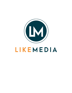

# LIKEMEDIA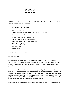# **SCOPE OF SERVICES**

All SEO starts with our core product Rocket Fish Digital. You will be a part of the best in class software which includes the following:

- Customized Client Dashboard
- Real Time Reporting
- Google Optimized Listing Builder With Over 175 Listing Sites
- Synced with Google, Yahoo and Bing
- Google My Business Listing Optimized
- Reputation Monitoring and Management
- Listing Blog Written and Indexed by Google
- Online Directory Listing
- Knowledge Tags
- Website Schema

\*This requires a 12 month commitment\*

## **SEO PRODUCT**

Our SEO Team will optimize the website and include pages for each keyword optimized for with the goal of helping your site rank organically on the first page of search results for the products and services you offer. Request more detailed information on our unique SEO product.

**General information and discussion of challenges and goals for website:** The current website is in fine shape but it is currently not properly optimized for maximum search engine visibility. It currently receives limited amounts of organic search traffic, relative to its potential, resulting in a lower number of qualified leads generated each month. Rocket Fish Digital has performed a preliminary SEO analysis of the site's current state and has identified several factors that contribute to the current sites underperformance.

Our SEO Team will optimize the website and include pages for each keyword optimized for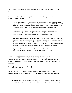with the goal of helping your site rank organically on the first page of search results for the products and services you offer.

**Recommendations:** Rocket Fish Digital recommends the following actions to enhance the good rankings:

**Fix Technical Issues** – making sure that the site's current technical state allows search engine bots to crawl public-facing pages freely is an integral aspect of SEO. Rocket Fish Digital will address areas such as crawl errors, internal linking, sitemap creation, etc. to make sure crawls run smoothly and internal link equity is properly distributed.

**Build Up the Link Profile** – Inbound links from relevant, high quality websites will help maximize the website's ranking potential. Rocket Fish Digital will use a variety of tactics to encourage authority sites to link back to the website pages.

**Capitalize on Video, Audio, and Slideshows** – Text content and link building are not enough to guarantee success in today's search engine optimization landscape. Google's algorithms tend to reward websites that look like legitimate brands and rich media is a good way to capitalize on this. Posting YouTube videos and video presentation sites is a great way to expand brand awareness and attract more visitors to the website.

**Reputation Software**- Implement and use our reputation software to acquire online reviews. This is a must for an increase in acquiring new clients.

In response to the SEO challenges identified, Rocket Fish Digital proposes a comprehensive SEO campaign that utilizes technical improvement, content development, and content promotion and link acquisition techniques. These activities are intended to enhance organic search visibility, which in turn drives the inbound marketing efforts of the business.

### **The Inbound Marketing Model**

Rocket Fish Digital will follow the inbound marketing model illustrated above. This paradigm shows how rankings translate into visits, conversions, and finally into returning customers.

● **Rankings** – With an optimized website, rankings are intended to improve. The goal is to get all of the site's target keywords in Google's first page to capture targeted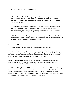traffic that can be converted into customers.

● **Visits** – The main benefit of having strong search engine rankings is that it sends quality, targeted traffic to your site's pages. When your website is found on Google by a user looking for its line of products, there's a great chance that this visitor is highly interested in what the site has to offer.

● **Conversions** – A conversion happens when a visitor to a website performs an action that helps you achieve a goal. Obviously, the more visitors a site has, the more opportunities it has to convert. Traffic from organic search is proven to be the easiest to convert compared to other traffic referral channels.

● **Retention** – Inbound marketing doesn't end with the completion of a transaction. Rocket Fish Digital's SEO campaign encourages customer retention and repeated transactions with its content marketing elements and follow-up system.

#### **Recommended Actions**

We recommend the following actions to enhance the good rankings:

**Fix Technical Issues** – making sure that the site's current technical state allows search engine bots to crawl public-facing pages freely is an integral aspect of SEO. Rocket Fish Digital will address areas such as crawl errors, internal linking, sitemap creation, etc. to make sure crawls run smoothly and internal link equity is properly distributed.

**Build Up the Link Profile** – Inbound links from relevant, high quality websites will help maximize the website's ranking potential. Rocket Fish Digital will use a variety of tactics to encourage authority sites to link to the website pages.

**Capitalize on Video, Audio, and Slideshows** – Text content and link building are not enough to guarantee success in today's search engine optimization landscape. Google's algorithms tend to reward websites that look like legitimate brands and rich media is a good way to capitalize on this. Posting YouTube videos and other video presentation sites are a great way to expand brand awareness and attract more visitors to the website.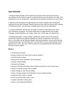# **SEO PROCESS**

1. Keyword ranking strategy: We will start with your goals and the main topics we find on your website, then do keyword research to determine the phrases that get the most traffic. We'll submit them to you for consideration, make adjustments and get your approval to move forward.

2. Reporting: We will configure Google Analytics and create a baseline report showing the starting point of the SEO campaign. Monthly reports will track visits from search traffic, rankings of all keyword phrases, and document completed tasks in the project's deliverables.

3. On-page optimization: We will write new pages of content (or edit existing ones) using your keywords as a guideline. We will also adjust other on-page elements such as titles, meta-tags, content (headlines, text, images, videos, etc.), anchor tags, and internal links.

4. Off-page optimization: Linking strategy is started with research done at the individual client level to maximize the audience targeting and relevant link placement. We will build links in a diversified manner following Google's webmaster guidelines, working with directories, social bookmark sites, and article/blog sites. Our goal will be to set up a good quantity of links gradually each month, with many of them coming from well-established sites with authority in the eyes of search engines.

#### **Month 1:**

- Pre-kickoff call research
- Keyword research and initial check of site for problems
- Kickoff call with business
- Keyword and onsite optimization recommendations
- Develop content strategy
- Develop local strategy:
- Review of business information (name, address and phone) for any unique issues
- Review of business location info on website
- Define strategy for local directory listings
- Setup of Google Analytics and Webmaster Tools for Google and Bing
- Duplicate content check on website
- Check for technical SEO issues on-site
- Creation of baseline ranking report
- Setup in online reporting dashboard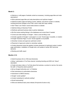#### **Month 2:**

● Optimize or craft pages of website content as necessary, including page titles and meta descriptions\*

- Write optimized page titles and meta descriptions and optimize images\*
- Optimize location page and listing of name, address, and phone number on website, including technical changes to the HTML code to help with maps visibility
- Add "Follow" and "Share" social media buttons to website
- Optimize listing on Business Finder
- Distribute optimized business data to partner databases
- We first review existing listings in the databases and correct them if needed
- Correct and claim listings on Google+, Yahoo Local and Bing Local
- Includes upgrade of Google+ Local page to a Local / Social page, if possible, or creation of Google+ Business Page, if Local / Social upgrade is not possible
- Advertiser reviews and approves optimized content
- Placement of approved content on advertiser website

● Content placement (extra fee applies) includes placement of optimized content, location page optimization, installation of Google tools, and update of certain SEO technical elements

● Ranking and traffic report

#### **Months 3-12:**

- Submit business info to (100) local directories
- Setup / optimization of YouTube channel, including branding and SEO-rich "About" description
- Create and place video on YouTube about the business, a product or service, the owner, the staff, or frequently asked questions\*
- Set up Google Authorship and / or Publisher
- Paid submissions to authoritative directories
- Submission to DMOZ directory
- Google+ social updates\*
- Content marketing for authority building\*
- Social bookmarking\*
- Write and distribute basic press release (8 keywords & above only)